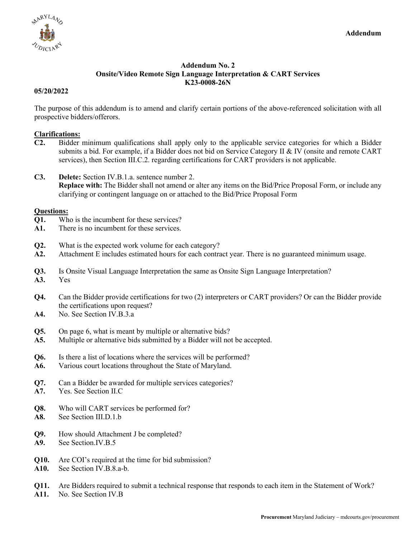

## **Addendum No. 2 Onsite/Video Remote Sign Language Interpretation & CART Services K23-0008-26N**

## **05/20/2022**

The purpose of this addendum is to amend and clarify certain portions of the above-referenced solicitation with all prospective bidders/offerors.

## **Clarifications:**

- **C2.** Bidder minimum qualifications shall apply only to the applicable service categories for which a Bidder submits a bid. For example, if a Bidder does not bid on Service Category II & IV (onsite and remote CART services), then Section III.C.2. regarding certifications for CART providers is not applicable.
- **C3. Delete:** Section IV.B.1.a. sentence number 2. **Replace with:** The Bidder shall not amend or alter any items on the Bid/Price Proposal Form, or include any clarifying or contingent language on or attached to the Bid/Price Proposal Form

## **Questions:**

- **Q1.** Who is the incumbent for these services?
- **A1.** There is no incumbent for these services.
- **Q2.** What is the expected work volume for each category?
- **A2.** Attachment E includes estimated hours for each contract year. There is no guaranteed minimum usage.
- **Q3.** Is Onsite Visual Language Interpretation the same as Onsite Sign Language Interpretation?
- **A3.** Yes
- **Q4.** Can the Bidder provide certifications for two (2) interpreters or CART providers? Or can the Bidder provide the certifications upon request?
- **A4.** No. See Section IV.B.3.a
- **Q5.** On page 6, what is meant by multiple or alternative bids?
- **A5.** Multiple or alternative bids submitted by a Bidder will not be accepted.
- **Q6.** Is there a list of locations where the services will be performed?
- **A6.** Various court locations throughout the State of Maryland.
- **Q7.** Can a Bidder be awarded for multiple services categories?<br>A7. Yes. See Section II.C
- **A7.** Yes. See Section II.C
- **Q8.** Who will CART services be performed for?
- **A8.** See Section III.D.1.b
- **Q9.** How should Attachment J be completed?
- **A9.** See Section.IV.B.5
- **Q10.** Are COI's required at the time for bid submission?
- **A10.** See Section IV.B.8.a-b.
- **Q11.** Are Bidders required to submit a technical response that responds to each item in the Statement of Work?
- **A11.** No. See Section IV.B